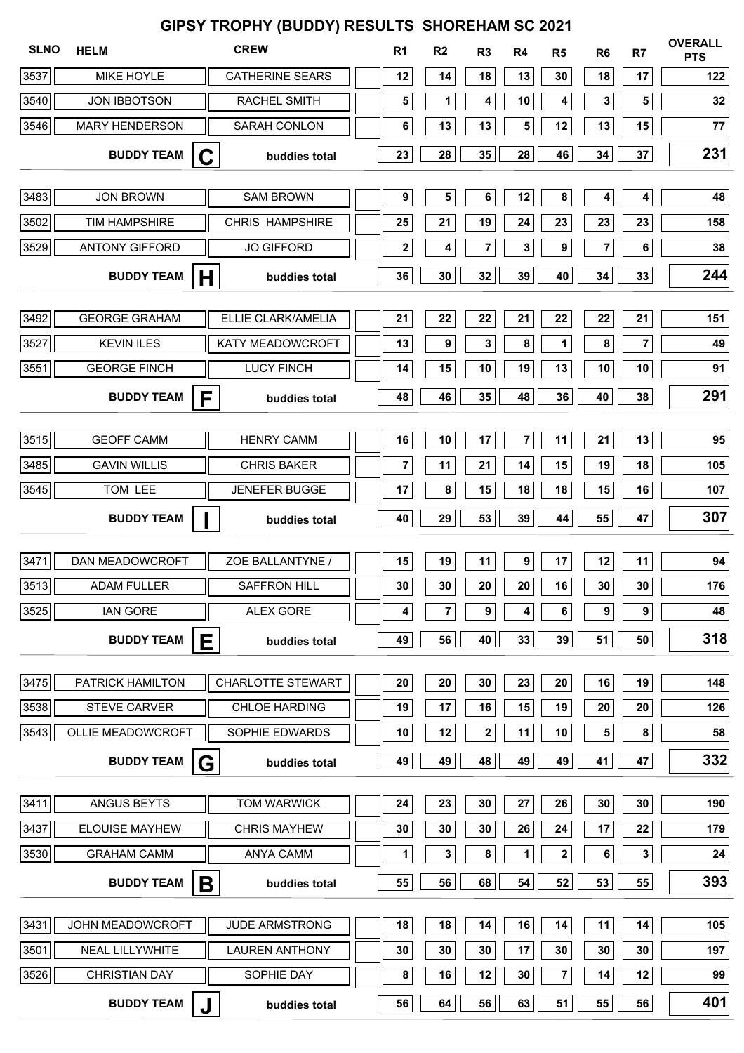| GIPSY TROPHY (BUDDY) RESULTS SHOREHAM SC 2021 |                        |                          |  |                         |                |             |                |                |                |                         |                              |
|-----------------------------------------------|------------------------|--------------------------|--|-------------------------|----------------|-------------|----------------|----------------|----------------|-------------------------|------------------------------|
| <b>SLNO</b>                                   | <b>HELM</b>            | <b>CREW</b>              |  | R <sub>1</sub>          | R <sub>2</sub> | R3          | R <sub>4</sub> | R <sub>5</sub> | R <sub>6</sub> | R <sub>7</sub>          | <b>OVERALL</b><br><b>PTS</b> |
| 3537                                          | <b>MIKE HOYLE</b>      | <b>CATHERINE SEARS</b>   |  | 12                      | 14             | 18          | 13             | 30             | 18             | 17                      | 122                          |
| 3540                                          | <b>JON IBBOTSON</b>    | RACHEL SMITH             |  | 5                       | 1              | 4           | 10             | 4              | 3              | 5                       | 32                           |
| 3546                                          | <b>MARY HENDERSON</b>  | SARAH CONLON             |  | 6                       | 13             | 13          | 5              | 12             | 13             | 15                      | 77                           |
|                                               | <b>BUDDY TEAM</b>      | buddies total            |  | 23                      | 28             | 35          | 28             | 46             | 34             | 37                      | 231                          |
| 3483                                          | <b>JON BROWN</b>       | <b>SAM BROWN</b>         |  | $\pmb{9}$               | 5              | 6           | 12             | 8              | 4              | 4                       | 48                           |
| 3502                                          | <b>TIM HAMPSHIRE</b>   | <b>CHRIS HAMPSHIRE</b>   |  | 25                      | 21             | 19          | 24             | 23             | 23             | 23                      | 158                          |
| 3529                                          | <b>ANTONY GIFFORD</b>  | <b>JO GIFFORD</b>        |  | 2                       | 4              | 7           | 3              | 9              | 7              | 6                       | $38\,$                       |
|                                               | <b>BUDDY TEAM</b>      | H<br>buddies total       |  | 36                      | 30             | 32          | 39             | 40             | 34             | 33                      | 244                          |
| 3492                                          | <b>GEORGE GRAHAM</b>   | ELLIE CLARK/AMELIA       |  | 21                      | 22             | 22          | 21             | 22             | 22             | 21                      | 151                          |
| 3527                                          | <b>KEVIN ILES</b>      | KATY MEADOWCROFT         |  | 13                      | 9              | 3           | 8              | 1              | 8              | $\overline{\mathbf{7}}$ | 49                           |
| 3551                                          | <b>GEORGE FINCH</b>    | <b>LUCY FINCH</b>        |  | 14                      | 15             | 10          | 19             | 13             | 10             | 10                      | 91                           |
|                                               | <b>BUDDY TEAM</b>      | F<br>buddies total       |  | 48                      | 46             | 35          | 48             | 36             | 40             | 38                      | 291                          |
|                                               |                        |                          |  |                         |                |             |                |                |                |                         |                              |
| 3515                                          | <b>GEOFF CAMM</b>      | <b>HENRY CAMM</b>        |  | 16                      | 10             | 17          | 7              | 11             | 21             | 13                      | 95                           |
| 3485                                          | <b>GAVIN WILLIS</b>    | <b>CHRIS BAKER</b>       |  | $\overline{\mathbf{7}}$ | 11             | 21          | 14             | 15             | 19             | 18                      | 105                          |
| 3545                                          | TOM LEE                | <b>JENEFER BUGGE</b>     |  | 17                      | 8              | 15          | 18             | 18             | 15             | 16                      | 107                          |
|                                               | <b>BUDDY TEAM</b>      | buddies total            |  | 40                      | 29             | 53          | 39             | 44             | 55             | 47                      | 307                          |
| 3471                                          | DAN MEADOWCROFT        | ZOE BALLANTYNE /         |  | 15                      | 19             | 11          | 9              | 17             | 12             | 11                      | 94                           |
| 3513                                          | <b>ADAM FULLER</b>     | <b>SAFFRON HILL</b>      |  | 30                      | 30             | 20          | 20             | 16             | 30             | 30                      | 176                          |
| 3525                                          | <b>IAN GORE</b>        | <b>ALEX GORE</b>         |  | 4                       | 7              | 9           | 4              | 6              | 9              | $\pmb{9}$               | 48                           |
|                                               | <b>BUDDY TEAM</b>      | Е<br>buddies total       |  | 49                      | 56             | 40          | 33             | 39             | 51             | 50                      | 318                          |
| 3475                                          | PATRICK HAMILTON       | <b>CHARLOTTE STEWART</b> |  | 20                      | 20             | 30          | 23             | 20             | 16             | 19                      | 148                          |
| 3538                                          | <b>STEVE CARVER</b>    | <b>CHLOE HARDING</b>     |  | 19                      | 17             | 16          | 15             | 19             | 20             | 20                      | 126                          |
| 3543                                          | OLLIE MEADOWCROFT      | SOPHIE EDWARDS           |  | 10                      | 12             | $\mathbf 2$ | 11             | 10             | 5              | ${\bf 8}$               | 58                           |
|                                               | <b>BUDDY TEAM</b>      | G<br>buddies total       |  | 49                      | 49             | 48          | 49             | 49             | 41             | 47                      | 332                          |
| 3411                                          | ANGUS BEYTS            | <b>TOM WARWICK</b>       |  | 24                      | 23             | 30          | 27             | 26             | 30             | 30                      | 190                          |
| 3437                                          | <b>ELOUISE MAYHEW</b>  | <b>CHRIS MAYHEW</b>      |  | 30                      | 30             | 30          | 26             | 24             | 17             | 22                      | 179                          |
| 3530                                          | <b>GRAHAM CAMM</b>     | <b>ANYA CAMM</b>         |  | 1                       | 3              | 8           | 1              | 2              | 6              | 3                       | 24                           |
|                                               | <b>BUDDY TEAM</b>      | buddies total            |  | 55                      | 56             | 68          | 54             | 52             | 53             | 55                      | 393                          |
|                                               |                        | B                        |  |                         |                |             |                |                |                |                         |                              |
| 3431                                          | JOHN MEADOWCROFT       | <b>JUDE ARMSTRONG</b>    |  | 18                      | 18             | 14          | 16             | 14             | 11             | 14                      | 105                          |
| 3501                                          | NEAL LILLYWHITE        | <b>LAUREN ANTHONY</b>    |  | 30                      | 30             | 30          | 17             | 30             | 30             | 30                      | 197                          |
| 3526                                          | <b>CHRISTIAN DAY</b>   | SOPHIE DAY               |  | 8                       | 16             | 12          | 30             | 7              | 14             | 12                      | 99                           |
|                                               | <b>BUDDY TEAM</b><br>J | buddies total            |  | 56                      | 64             | 56          | 63             | 51             | 55             | 56                      | 401                          |